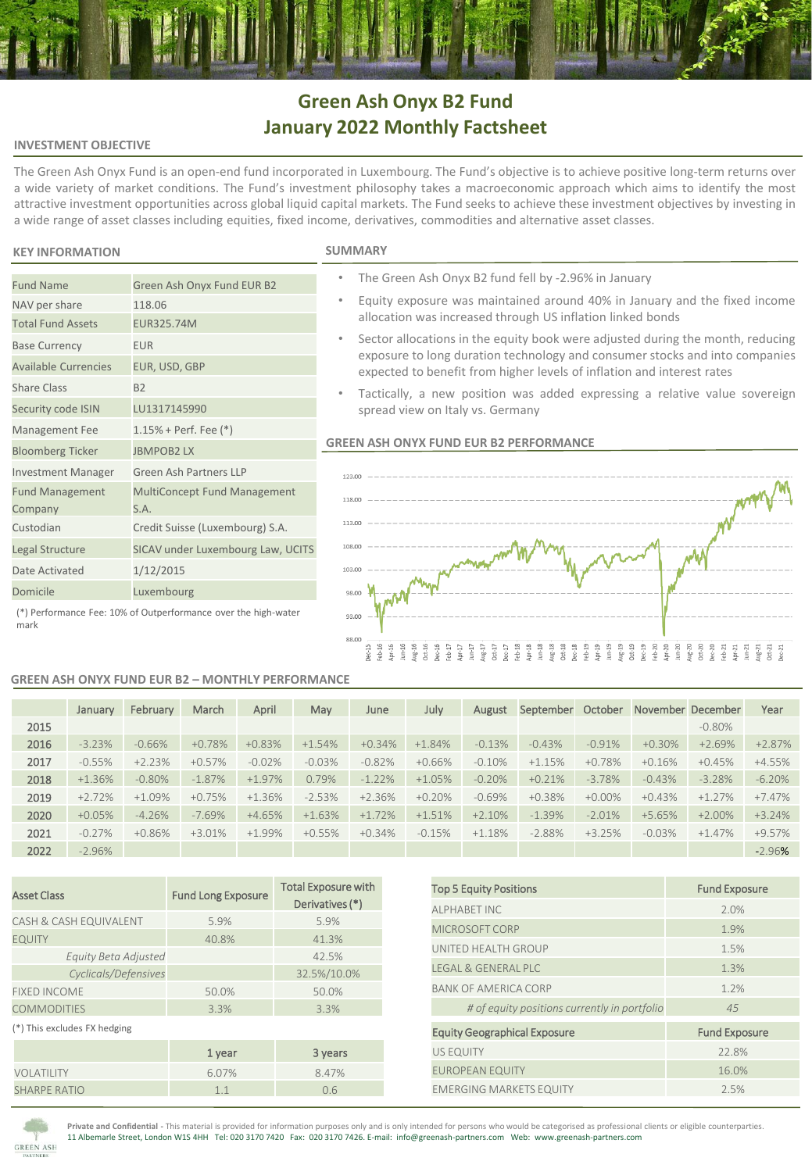# **Green Ash Onyx B2 Fund January 2022 Monthly Factsheet**

### **INVESTMENT OBJECTIVE**

The Green Ash Onyx Fund is an open-end fund incorporated in Luxembourg. The Fund's objective is to achieve positive long-term returns over a wide variety of market conditions. The Fund's investment philosophy takes a macroeconomic approach which aims to identify the most attractive investment opportunities across global liquid capital markets. The Fund seeks to achieve these investment objectives by investing in a wide range of asset classes including equities, fixed income, derivatives, commodities and alternative asset classes.

### **KEY INFORMATION**

NAV per share 118.06 Total Fund Assets EUR325.74M Base Currency **EUR** 

Share Class B2

Fund Management Company

Available Currencies EUR, USD, GBP

Security code ISIN LU1317145990 Management Fee 1.15% + Perf. Fee (\*) Bloomberg Ticker JBMPOB2 LX

Date Activated 1/12/2015 Domicile Luxembourg

Investment Manager Green Ash Partners LLP

S.A. Custodian Credit Suisse (Luxembourg) S.A. Legal Structure SICAV under Luxembourg Law, UCITS

|    |  |  | ⊶rV∏V⊫ |  |    |  |
|----|--|--|--------|--|----|--|
| ۰. |  |  |        |  | л. |  |

- The Green Ash Onyx B2 fund fell by -2.96% in January
- Equity exposure was maintained around 40% in January and the fixed income allocation was increased through US inflation linked bonds
- Sector allocations in the equity book were adjusted during the month, reducing exposure to long duration technology and consumer stocks and into companies expected to benefit from higher levels of inflation and interest rates
- Tactically, a new position was added expressing a relative value sovereign spread view on Italy vs. Germany

### **GREEN ASH ONYX FUND EUR B2 PERFORMANCE**



(\*) Performance Fee: 10% of Outperformance over the high-water mark

Fund Name Green Ash Onyx Fund EUR B2

### **GREEN ASH ONYX FUND EUR B2 – MONTHLY PERFORMANCE**

MultiConcept Fund Management

|      | January  | February | March    | April    | May      | June     | July     | August   | September | October   |          | November December | Year     |
|------|----------|----------|----------|----------|----------|----------|----------|----------|-----------|-----------|----------|-------------------|----------|
| 2015 |          |          |          |          |          |          |          |          |           |           |          | $-0.80%$          |          |
| 2016 | $-3.23%$ | $-0.66%$ | $+0.78%$ | $+0.83%$ | $+1.54%$ | $+0.34%$ | $+1.84%$ | $-0.13%$ | $-0.43%$  | $-0.91%$  | $+0.30%$ | $+2.69%$          | $+2.87%$ |
| 2017 | $-0.55%$ | $+2.23%$ | $+0.57%$ | $-0.02%$ | $-0.03%$ | $-0.82%$ | $+0.66%$ | $-0.10%$ | $+1.15%$  | $+0.78%$  | $+0.16%$ | $+0.45%$          | $+4.55%$ |
| 2018 | $+1.36%$ | $-0.80%$ | $-1.87%$ | $+1.97%$ | 0.79%    | $-1.22%$ | $+1.05%$ | $-0.20%$ | $+0.21%$  | $-3.78%$  | $-0.43%$ | $-3.28%$          | $-6.20%$ |
| 2019 | $+2.72%$ | $+1.09%$ | $+0.75%$ | $+1.36%$ | $-2.53%$ | $+2.36%$ | $+0.20%$ | $-0.69%$ | $+0.38%$  | $+0.00\%$ | $+0.43%$ | $+1.27%$          | $+7.47%$ |
| 2020 | $+0.05%$ | $-4.26%$ | $-7.69%$ | $+4.65%$ | $+1.63%$ | $+1.72%$ | $+1.51%$ | $+2.10%$ | $-1.39%$  | $-2.01%$  | $+5.65%$ | $+2.00%$          | $+3.24%$ |
| 2021 | $-0.27%$ | $+0.86%$ | $+3.01%$ | $+1.99%$ | $+0.55%$ | $+0.34%$ | $-0.15%$ | $+1.18%$ | $-2.88%$  | $+3.25%$  | $-0.03%$ | $+1.47%$          | +9.57%   |
| 2022 | $-2.96%$ |          |          |          |          |          |          |          |           |           |          |                   | $-2.96%$ |

| <b>Asset Class</b>           | <b>Fund Long Exposure</b> | <b>Total Exposure with</b><br>Derivatives (*) |  |  |
|------------------------------|---------------------------|-----------------------------------------------|--|--|
| CASH & CASH EQUIVALENT       | 5.9%                      | 5.9%                                          |  |  |
| <b>EQUITY</b>                | 40.8%                     | 41.3%                                         |  |  |
| Equity Beta Adjusted         |                           | 42.5%                                         |  |  |
| Cyclicals/Defensives         |                           | 32.5%/10.0%                                   |  |  |
| <b>FIXED INCOME</b>          | 50.0%                     | 50.0%                                         |  |  |
| <b>COMMODITIES</b>           | 3.3%                      | 3.3%                                          |  |  |
| (*) This excludes FX hedging |                           |                                               |  |  |
|                              | 1 year                    | 3 years                                       |  |  |
| VOLATILITY                   | 6.07%                     | 8.47%                                         |  |  |
| <b>SHARPE RATIO</b>          | 1.1                       | 0.6                                           |  |  |

| <b>Top 5 Equity Positions</b>                | <b>Fund Exposure</b> |
|----------------------------------------------|----------------------|
| <b>ALPHABET INC</b>                          | 2.0%                 |
| MICROSOFT CORP                               | 1.9%                 |
| UNITED HEALTH GROUP                          | 1.5%                 |
| <b>IFGAL &amp; GENERAL PLC</b>               | 1.3%                 |
| <b>BANK OF AMERICA CORP</b>                  | 1.2%                 |
| # of equity positions currently in portfolio | 45                   |
| <b>Equity Geographical Exposure</b>          | <b>Fund Exposure</b> |
| <b>US EQUITY</b>                             | 22.8%                |
| <b>EUROPEAN EQUITY</b>                       | 16.0%                |
| <b>EMERGING MARKETS EQUITY</b>               | 2.5%                 |



**Private and Confidential -** This material is provided for information purposes only and is only intended for persons who would be categorised as professional clients or eligible counterparties. 11 Albemarle Street, London W1S 4HH Tel: 020 3170 7420 Fax: 020 3170 7426. E-mail: info@greenash-partners.com Web: www.greenash-partners.com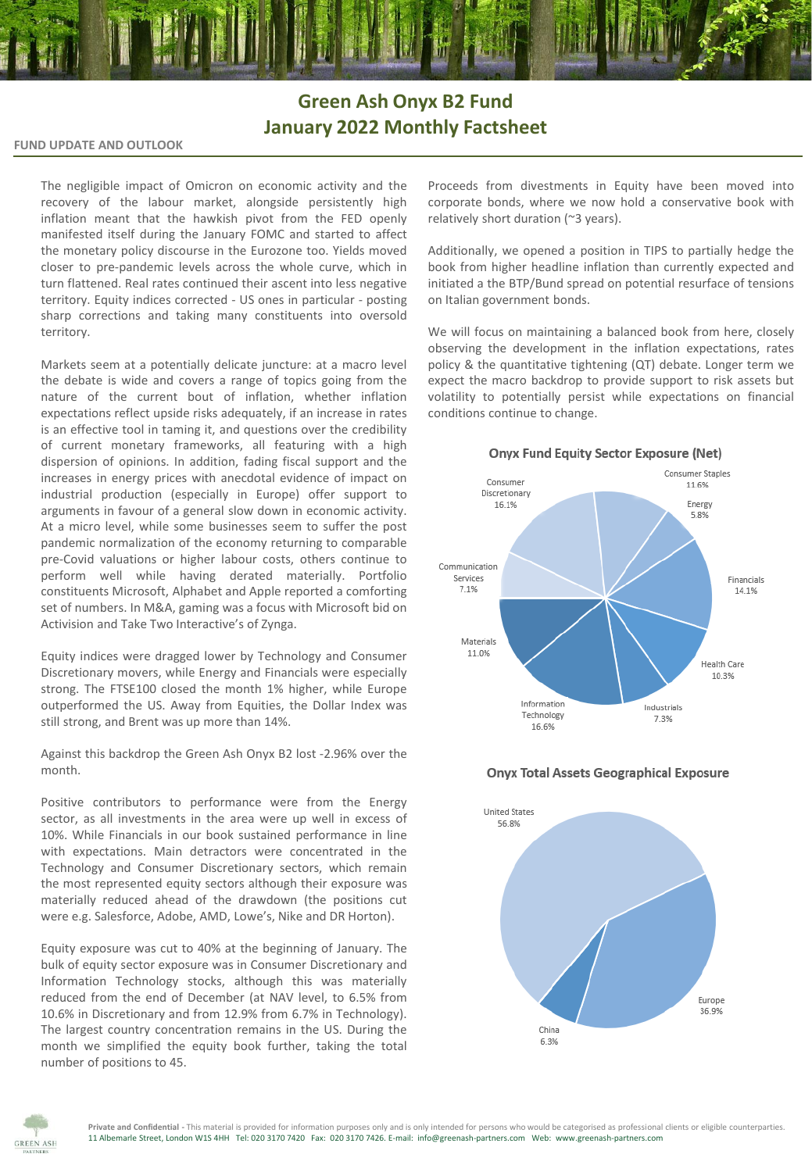## **Green Ash Onyx B2 Fund January 2022 Monthly Factsheet**

**FUND UPDATE AND OUTLOOK**

The negligible impact of Omicron on economic activity and the recovery of the labour market, alongside persistently high inflation meant that the hawkish pivot from the FED openly manifested itself during the January FOMC and started to affect the monetary policy discourse in the Eurozone too. Yields moved closer to pre-pandemic levels across the whole curve, which in turn flattened. Real rates continued their ascent into less negative territory. Equity indices corrected - US ones in particular - posting sharp corrections and taking many constituents into oversold territory.

Markets seem at a potentially delicate juncture: at a macro level the debate is wide and covers a range of topics going from the nature of the current bout of inflation, whether inflation expectations reflect upside risks adequately, if an increase in rates is an effective tool in taming it, and questions over the credibility of current monetary frameworks, all featuring with a high dispersion of opinions. In addition, fading fiscal support and the increases in energy prices with anecdotal evidence of impact on industrial production (especially in Europe) offer support to arguments in favour of a general slow down in economic activity. At a micro level, while some businesses seem to suffer the post pandemic normalization of the economy returning to comparable pre-Covid valuations or higher labour costs, others continue to perform well while having derated materially. Portfolio constituents Microsoft, Alphabet and Apple reported a comforting set of numbers. In M&A, gaming was a focus with Microsoft bid on Activision and Take Two Interactive's of Zynga.

Equity indices were dragged lower by Technology and Consumer Discretionary movers, while Energy and Financials were especially strong. The FTSE100 closed the month 1% higher, while Europe outperformed the US. Away from Equities, the Dollar Index was still strong, and Brent was up more than 14%.

Against this backdrop the Green Ash Onyx B2 lost -2.96% over the month.

Positive contributors to performance were from the Energy sector, as all investments in the area were up well in excess of 10%. While Financials in our book sustained performance in line with expectations. Main detractors were concentrated in the Technology and Consumer Discretionary sectors, which remain the most represented equity sectors although their exposure was materially reduced ahead of the drawdown (the positions cut were e.g. Salesforce, Adobe, AMD, Lowe's, Nike and DR Horton).

Equity exposure was cut to 40% at the beginning of January. The bulk of equity sector exposure was in Consumer Discretionary and Information Technology stocks, although this was materially reduced from the end of December (at NAV level, to 6.5% from 10.6% in Discretionary and from 12.9% from 6.7% in Technology). The largest country concentration remains in the US. During the month we simplified the equity book further, taking the total number of positions to 45.

Proceeds from divestments in Equity have been moved into corporate bonds, where we now hold a conservative book with relatively short duration (~3 years).

Additionally, we opened a position in TIPS to partially hedge the book from higher headline inflation than currently expected and initiated a the BTP/Bund spread on potential resurface of tensions on Italian government bonds.

We will focus on maintaining a balanced book from here, closely observing the development in the inflation expectations, rates policy & the quantitative tightening (QT) debate. Longer term we expect the macro backdrop to provide support to risk assets but volatility to potentially persist while expectations on financial conditions continue to change.